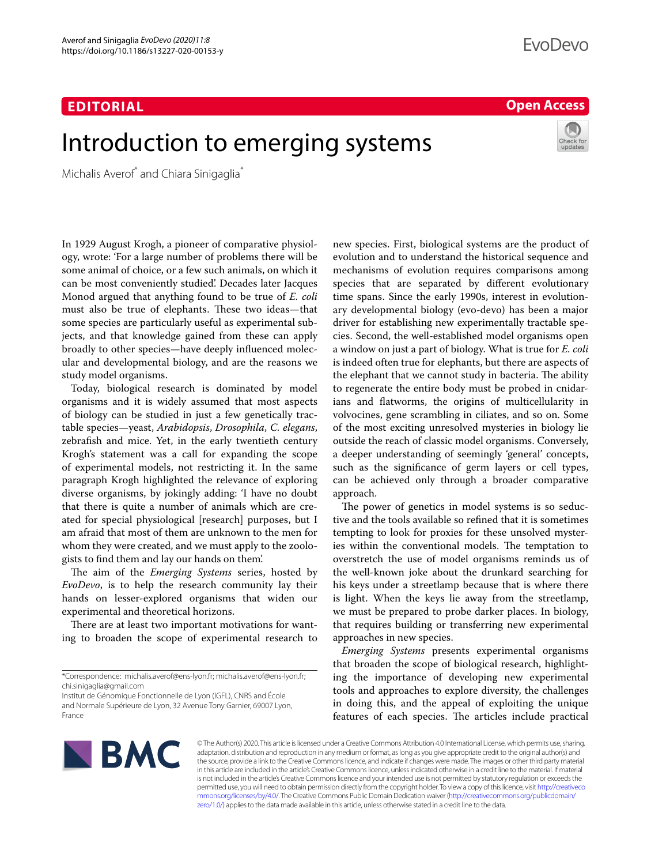## **EDITORIAL**

## **Open Access**

# Introduction to emerging systems

Michalis Averof\* and Chiara Sinigaglia\*

In 1929 August Krogh, a pioneer of comparative physiology, wrote: 'For a large number of problems there will be some animal of choice, or a few such animals, on which it can be most conveniently studied'. Decades later Jacques Monod argued that anything found to be true of *E. coli* must also be true of elephants. These two ideas—that some species are particularly useful as experimental subjects, and that knowledge gained from these can apply broadly to other species—have deeply infuenced molecular and developmental biology, and are the reasons we study model organisms.

Today, biological research is dominated by model organisms and it is widely assumed that most aspects of biology can be studied in just a few genetically tractable species—yeast, *Arabidopsis*, *Drosophila*, *C. elegans*, zebrafsh and mice. Yet, in the early twentieth century Krogh's statement was a call for expanding the scope of experimental models, not restricting it. In the same paragraph Krogh highlighted the relevance of exploring diverse organisms, by jokingly adding: 'I have no doubt that there is quite a number of animals which are created for special physiological [research] purposes, but I am afraid that most of them are unknown to the men for whom they were created, and we must apply to the zoologists to fnd them and lay our hands on them'.

The aim of the *Emerging Systems* series, hosted by *EvoDevo*, is to help the research community lay their hands on lesser-explored organisms that widen our experimental and theoretical horizons.

There are at least two important motivations for wanting to broaden the scope of experimental research to

new species. First, biological systems are the product of evolution and to understand the historical sequence and mechanisms of evolution requires comparisons among species that are separated by diferent evolutionary time spans. Since the early 1990s, interest in evolutionary developmental biology (evo-devo) has been a major driver for establishing new experimentally tractable species. Second, the well-established model organisms open a window on just a part of biology. What is true for *E. coli* is indeed often true for elephants, but there are aspects of the elephant that we cannot study in bacteria. The ability to regenerate the entire body must be probed in cnidarians and fatworms, the origins of multicellularity in volvocines, gene scrambling in ciliates, and so on. Some of the most exciting unresolved mysteries in biology lie outside the reach of classic model organisms. Conversely, a deeper understanding of seemingly 'general' concepts, such as the signifcance of germ layers or cell types, can be achieved only through a broader comparative approach.

The power of genetics in model systems is so seductive and the tools available so refned that it is sometimes tempting to look for proxies for these unsolved mysteries within the conventional models. The temptation to overstretch the use of model organisms reminds us of the well-known joke about the drunkard searching for his keys under a streetlamp because that is where there is light. When the keys lie away from the streetlamp, we must be prepared to probe darker places. In biology, that requires building or transferring new experimental approaches in new species.

*Emerging Systems* presents experimental organisms that broaden the scope of biological research, highlighting the importance of developing new experimental tools and approaches to explore diversity, the challenges in doing this, and the appeal of exploiting the unique features of each species. The articles include practical



© The Author(s) 2020. This article is licensed under a Creative Commons Attribution 4.0 International License, which permits use, sharing, adaptation, distribution and reproduction in any medium or format, as long as you give appropriate credit to the original author(s) and the source, provide a link to the Creative Commons licence, and indicate if changes were made. The images or other third party material in this article are included in the article's Creative Commons licence, unless indicated otherwise in a credit line to the material. If material is not included in the article's Creative Commons licence and your intended use is not permitted by statutory regulation or exceeds the permitted use, you will need to obtain permission directly from the copyright holder. To view a copy of this licence, visit [http://creativeco](http://creativecommons.org/licenses/by/4.0/) [mmons.org/licenses/by/4.0/.](http://creativecommons.org/licenses/by/4.0/) The Creative Commons Public Domain Dedication waiver ([http://creativecommons.org/publicdomain/](http://creativecommons.org/publicdomain/zero/1.0/) [zero/1.0/\)](http://creativecommons.org/publicdomain/zero/1.0/) applies to the data made available in this article, unless otherwise stated in a credit line to the data.

<sup>\*</sup>Correspondence: michalis.averof@ens‑lyon.fr; michalis.averof@ens‑lyon.fr; chi.sinigaglia@gmail.com

Institut de Génomique Fonctionnelle de Lyon (IGFL), CNRS and École and Normale Supérieure de Lyon, 32 Avenue Tony Garnier, 69007 Lyon, France